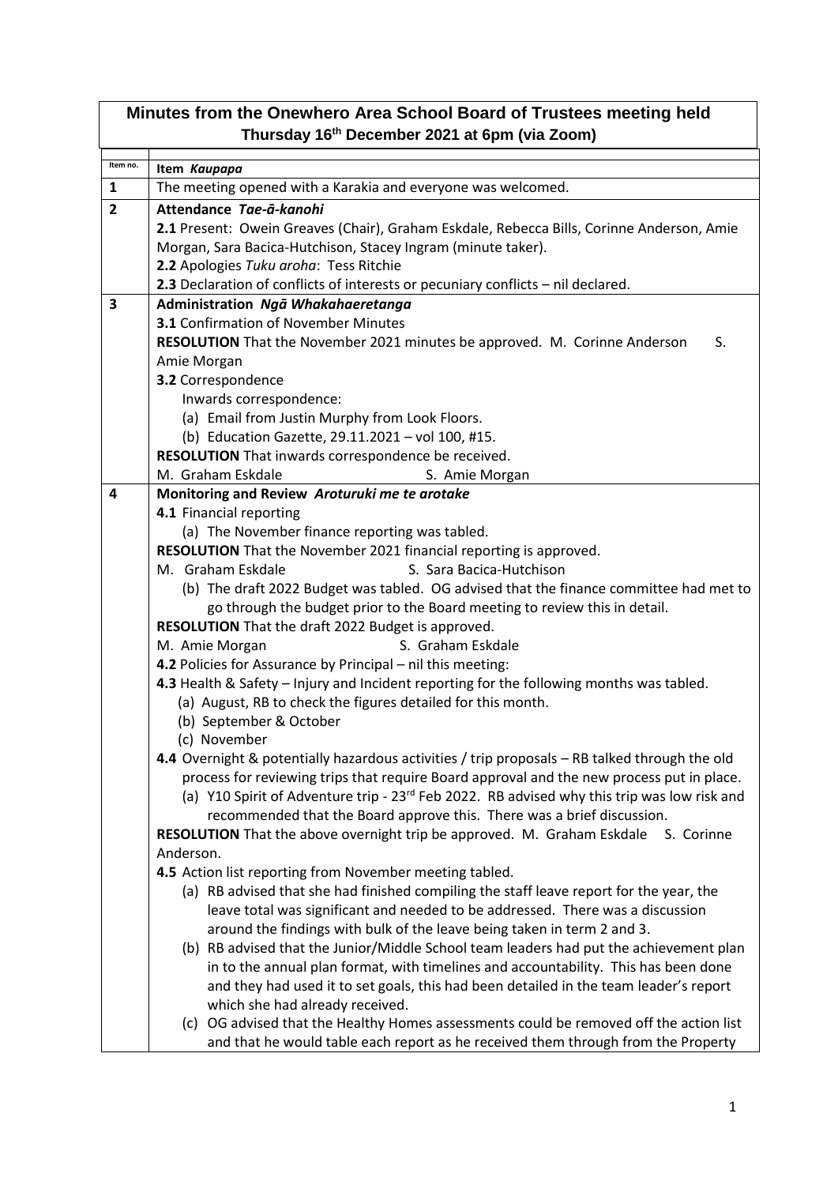| Minutes from the Onewhero Area School Board of Trustees meeting held |                                                                                                         |  |
|----------------------------------------------------------------------|---------------------------------------------------------------------------------------------------------|--|
| Thursday 16th December 2021 at 6pm (via Zoom)                        |                                                                                                         |  |
| Item no.                                                             | Item Kaupapa                                                                                            |  |
| 1                                                                    | The meeting opened with a Karakia and everyone was welcomed.                                            |  |
| $\overline{2}$                                                       | Attendance Tae-a-kanohi                                                                                 |  |
|                                                                      | 2.1 Present: Owein Greaves (Chair), Graham Eskdale, Rebecca Bills, Corinne Anderson, Amie               |  |
|                                                                      | Morgan, Sara Bacica-Hutchison, Stacey Ingram (minute taker).                                            |  |
|                                                                      | 2.2 Apologies Tuku aroha: Tess Ritchie                                                                  |  |
|                                                                      | 2.3 Declaration of conflicts of interests or pecuniary conflicts - nil declared.                        |  |
| 3                                                                    | Administration Ngā Whakahaeretanga                                                                      |  |
|                                                                      | <b>3.1</b> Confirmation of November Minutes                                                             |  |
|                                                                      | RESOLUTION That the November 2021 minutes be approved. M. Corinne Anderson<br>S.                        |  |
|                                                                      | Amie Morgan                                                                                             |  |
|                                                                      | 3.2 Correspondence                                                                                      |  |
|                                                                      | Inwards correspondence:                                                                                 |  |
|                                                                      | (a) Email from Justin Murphy from Look Floors.                                                          |  |
|                                                                      | (b) Education Gazette, 29.11.2021 - vol 100, #15.                                                       |  |
|                                                                      | RESOLUTION That inwards correspondence be received.<br>M. Graham Eskdale                                |  |
| 4                                                                    | S. Amie Morgan<br>Monitoring and Review Aroturuki me te arotake                                         |  |
|                                                                      | 4.1 Financial reporting                                                                                 |  |
|                                                                      | (a) The November finance reporting was tabled.                                                          |  |
|                                                                      | RESOLUTION That the November 2021 financial reporting is approved.                                      |  |
|                                                                      | S. Sara Bacica-Hutchison<br>M. Graham Eskdale                                                           |  |
|                                                                      | (b) The draft 2022 Budget was tabled. OG advised that the finance committee had met to                  |  |
|                                                                      | go through the budget prior to the Board meeting to review this in detail.                              |  |
|                                                                      | RESOLUTION That the draft 2022 Budget is approved.                                                      |  |
|                                                                      | M. Amie Morgan<br>S. Graham Eskdale                                                                     |  |
|                                                                      | 4.2 Policies for Assurance by Principal - nil this meeting:                                             |  |
|                                                                      | 4.3 Health & Safety - Injury and Incident reporting for the following months was tabled.                |  |
|                                                                      | (a) August, RB to check the figures detailed for this month.                                            |  |
|                                                                      | (b) September & October                                                                                 |  |
|                                                                      | (c) November                                                                                            |  |
|                                                                      | 4.4 Overnight & potentially hazardous activities / trip proposals - RB talked through the old           |  |
|                                                                      | process for reviewing trips that require Board approval and the new process put in place.               |  |
|                                                                      | (a) Y10 Spirit of Adventure trip - 23 <sup>rd</sup> Feb 2022. RB advised why this trip was low risk and |  |
|                                                                      | recommended that the Board approve this. There was a brief discussion.                                  |  |
|                                                                      | <b>RESOLUTION</b> That the above overnight trip be approved. M. Graham Eskdale S. Corinne<br>Anderson.  |  |
|                                                                      | 4.5 Action list reporting from November meeting tabled.                                                 |  |
|                                                                      | (a) RB advised that she had finished compiling the staff leave report for the year, the                 |  |
|                                                                      | leave total was significant and needed to be addressed. There was a discussion                          |  |
|                                                                      | around the findings with bulk of the leave being taken in term 2 and 3.                                 |  |
|                                                                      | (b) RB advised that the Junior/Middle School team leaders had put the achievement plan                  |  |
|                                                                      | in to the annual plan format, with timelines and accountability. This has been done                     |  |
|                                                                      | and they had used it to set goals, this had been detailed in the team leader's report                   |  |
|                                                                      | which she had already received.                                                                         |  |
|                                                                      | (c) OG advised that the Healthy Homes assessments could be removed off the action list                  |  |
|                                                                      | and that he would table each report as he received them through from the Property                       |  |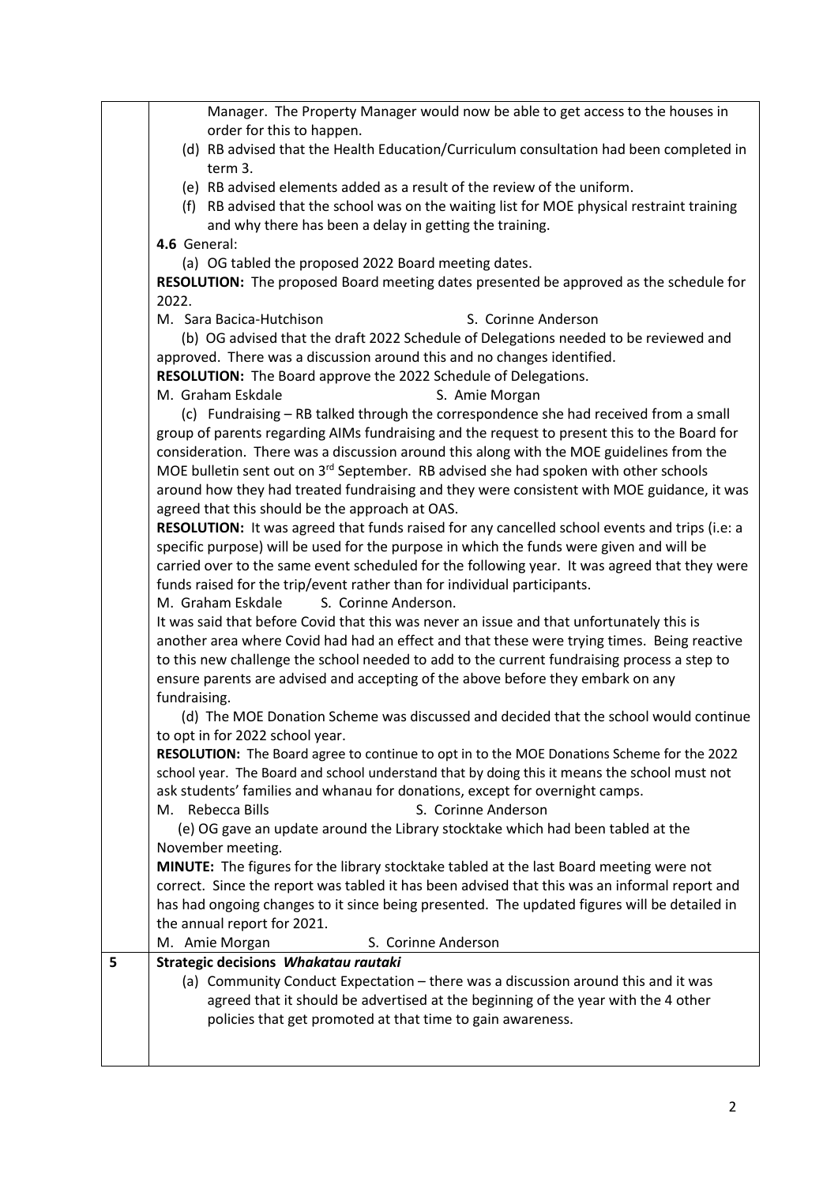Manager. The Property Manager would now be able to get access to the houses in order for this to happen. (d) RB advised that the Health Education/Curriculum consultation had been completed in term 3. (e) RB advised elements added as a result of the review of the uniform. (f) RB advised that the school was on the waiting list for MOE physical restraint training and why there has been a delay in getting the training. **4.6** General: (a) OG tabled the proposed 2022 Board meeting dates. **RESOLUTION:** The proposed Board meeting dates presented be approved as the schedule for 2022. M. Sara Bacica-Hutchison S. Corinne Anderson (b) OG advised that the draft 2022 Schedule of Delegations needed to be reviewed and approved. There was a discussion around this and no changes identified. **RESOLUTION:** The Board approve the 2022 Schedule of Delegations. M. Graham Eskdale S. Amie Morgan (c) Fundraising – RB talked through the correspondence she had received from a small group of parents regarding AIMs fundraising and the request to present this to the Board for consideration. There was a discussion around this along with the MOE guidelines from the MOE bulletin sent out on  $3<sup>rd</sup>$  September. RB advised she had spoken with other schools around how they had treated fundraising and they were consistent with MOE guidance, it was agreed that this should be the approach at OAS. **RESOLUTION:** It was agreed that funds raised for any cancelled school events and trips (i.e: a specific purpose) will be used for the purpose in which the funds were given and will be carried over to the same event scheduled for the following year. It was agreed that they were funds raised for the trip/event rather than for individual participants. M. Graham Eskdale S. Corinne Anderson. It was said that before Covid that this was never an issue and that unfortunately this is another area where Covid had had an effect and that these were trying times. Being reactive to this new challenge the school needed to add to the current fundraising process a step to ensure parents are advised and accepting of the above before they embark on any fundraising. (d) The MOE Donation Scheme was discussed and decided that the school would continue to opt in for 2022 school year. **RESOLUTION:** The Board agree to continue to opt in to the MOE Donations Scheme for the 2022 school year. The Board and school understand that by doing this it means the school must not ask students' families and whanau for donations, except for overnight camps. M. Rebecca Bills S. Corinne Anderson (e) OG gave an update around the Library stocktake which had been tabled at the November meeting. **MINUTE:** The figures for the library stocktake tabled at the last Board meeting were not correct. Since the report was tabled it has been advised that this was an informal report and has had ongoing changes to it since being presented. The updated figures will be detailed in the annual report for 2021. M. Amie Morgan S. Corinne Anderson **5 Strategic decisions** *Whakatau rautaki* (a) Community Conduct Expectation – there was a discussion around this and it was agreed that it should be advertised at the beginning of the year with the 4 other policies that get promoted at that time to gain awareness.